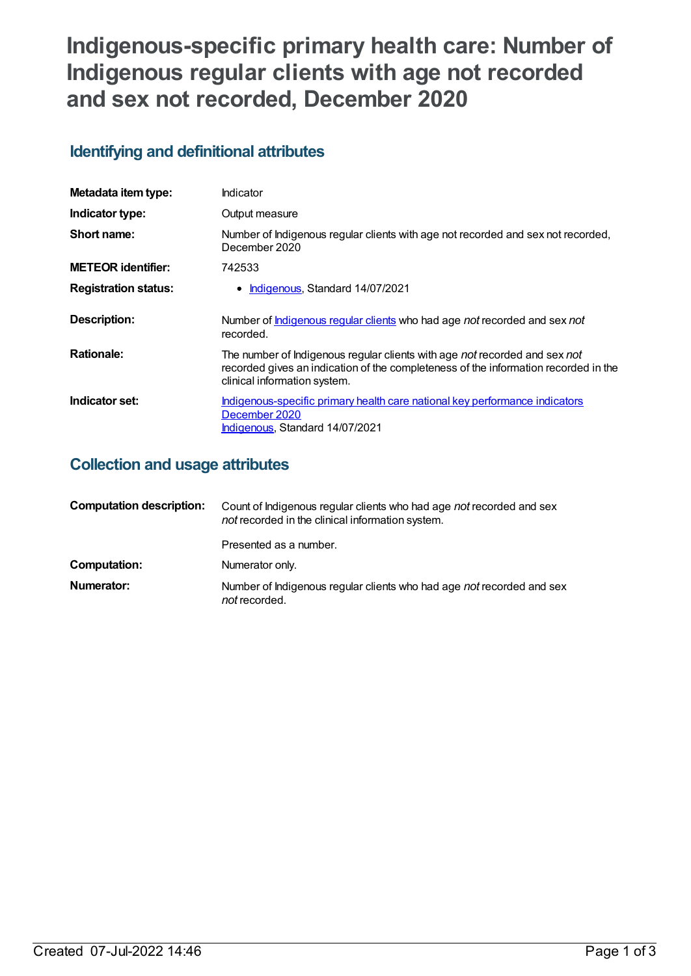# **Indigenous-specific primary health care: Number of Indigenous regular clients with age not recorded and sex not recorded, December 2020**

# **Identifying and definitional attributes**

| Metadata item type:         | Indicator                                                                                                                                                                                         |
|-----------------------------|---------------------------------------------------------------------------------------------------------------------------------------------------------------------------------------------------|
| Indicator type:             | Output measure                                                                                                                                                                                    |
| Short name:                 | Number of Indigenous regular clients with age not recorded and sex not recorded,<br>December 2020                                                                                                 |
| <b>METEOR identifier:</b>   | 742533                                                                                                                                                                                            |
| <b>Registration status:</b> | • Indigenous, Standard 14/07/2021                                                                                                                                                                 |
| Description:                | Number of <b>Indigenous regular clients</b> who had age not recorded and sex not<br>recorded.                                                                                                     |
| <b>Rationale:</b>           | The number of Indigenous regular clients with age not recorded and sex not<br>recorded gives an indication of the completeness of the information recorded in the<br>clinical information system. |
| Indicator set:              | Indigenous-specific primary health care national key performance indicators<br>December 2020<br>Indigenous, Standard 14/07/2021                                                                   |

# **Collection and usage attributes**

| <b>Computation description:</b> | Count of Indigenous regular clients who had age not recorded and sex<br>not recorded in the clinical information system. |
|---------------------------------|--------------------------------------------------------------------------------------------------------------------------|
|                                 | Presented as a number.                                                                                                   |
| Computation:                    | Numerator only.                                                                                                          |
| Numerator:                      | Number of Indigenous regular clients who had age not recorded and sex<br><i>not</i> recorded.                            |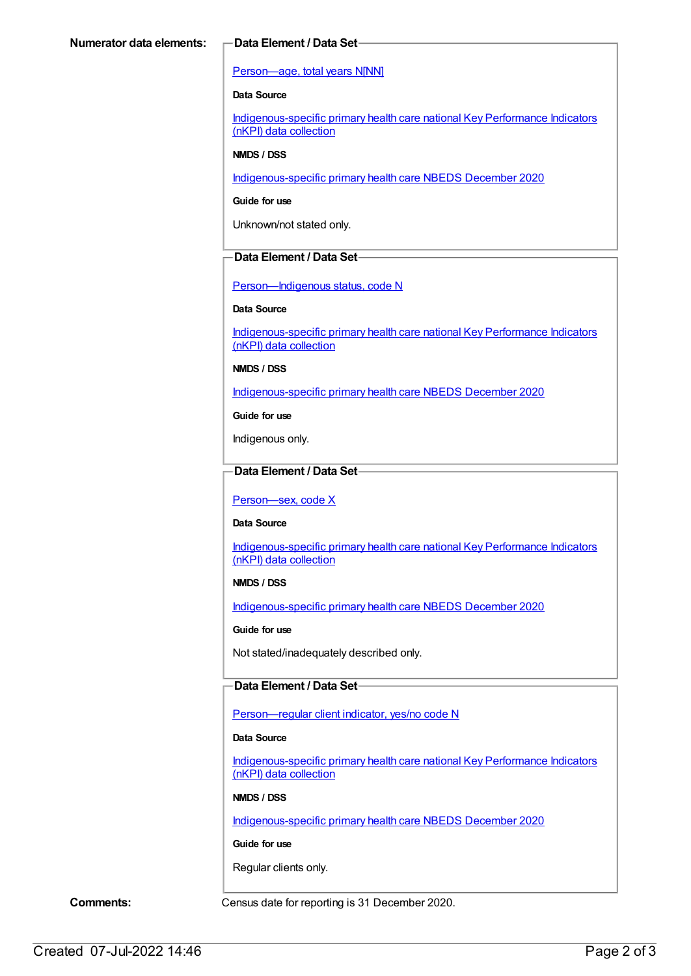#### [Person—age,](https://meteor.aihw.gov.au/content/303794) total years N[NN]

#### **Data Source**

[Indigenous-specific](https://meteor.aihw.gov.au/content/737914) primary health care national Key Performance Indicators (nKPI) data collection

#### **NMDS / DSS**

[Indigenous-specific](https://meteor.aihw.gov.au/content/738532) primary health care NBEDS December 2020

**Guide for use**

Unknown/not stated only.

### **Data Element / Data Set**

[Person—Indigenous](https://meteor.aihw.gov.au/content/602543) status, code N

#### **Data Source**

[Indigenous-specific](https://meteor.aihw.gov.au/content/737914) primary health care national Key Performance Indicators (nKPI) data collection

**NMDS / DSS**

[Indigenous-specific](https://meteor.aihw.gov.au/content/738532) primary health care NBEDS December 2020

**Guide for use**

Indigenous only.

### **Data Element / Data Set**

[Person—sex,](https://meteor.aihw.gov.au/content/635126) code X

**Data Source**

[Indigenous-specific](https://meteor.aihw.gov.au/content/737914) primary health care national Key Performance Indicators (nKPI) data collection

### **NMDS / DSS**

[Indigenous-specific](https://meteor.aihw.gov.au/content/738532) primary health care NBEDS December 2020

**Guide for use**

Not stated/inadequately described only.

### **Data Element / Data Set**

[Person—regular](https://meteor.aihw.gov.au/content/686291) client indicator, yes/no code N

#### **Data Source**

[Indigenous-specific](https://meteor.aihw.gov.au/content/737914) primary health care national Key Performance Indicators (nKPI) data collection

#### **NMDS / DSS**

[Indigenous-specific](https://meteor.aihw.gov.au/content/738532) primary health care NBEDS December 2020

### **Guide for use**

Regular clients only.

**Comments:** Census date for reporting is 31 December 2020.